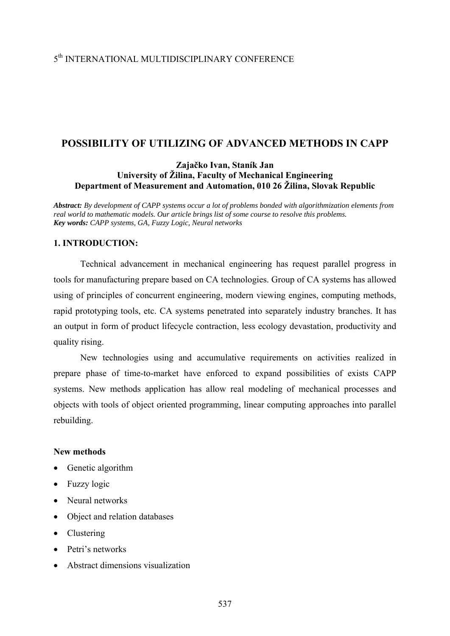# 5th INTERNATIONAL MULTIDISCIPLINARY CONFERENCE

## **POSSIBILITY OF UTILIZING OF ADVANCED METHODS IN CAPP**

## **Zajačko Ivan, Staník Jan University of Žilina, Faculty of Mechanical Engineering Department of Measurement and Automation, 010 26 Žilina, Slovak Republic**

*Abstract: By development of CAPP systems occur a lot of problems bonded with algorithmization elements from real world to mathematic models. Our article brings list of some course to resolve this problems. Key words: CAPP systems, GA, Fuzzy Logic, Neural networks*

## **1. INTRODUCTION:**

 Technical advancement in mechanical engineering has request parallel progress in tools for manufacturing prepare based on CA technologies. Group of CA systems has allowed using of principles of concurrent engineering, modern viewing engines, computing methods, rapid prototyping tools, etc. CA systems penetrated into separately industry branches. It has an output in form of product lifecycle contraction, less ecology devastation, productivity and quality rising.

 New technologies using and accumulative requirements on activities realized in prepare phase of time-to-market have enforced to expand possibilities of exists CAPP systems. New methods application has allow real modeling of mechanical processes and objects with tools of object oriented programming, linear computing approaches into parallel rebuilding.

#### **New methods**

- Genetic algorithm
- Fuzzy logic
- Neural networks
- Object and relation databases
- Clustering
- Petri's networks
- Abstract dimensions visualization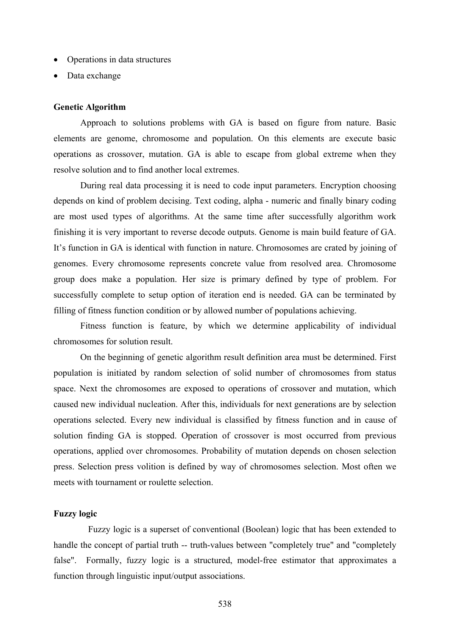- Operations in data structures
- Data exchange

#### **Genetic Algorithm**

 Approach to solutions problems with GA is based on figure from nature. Basic elements are genome, chromosome and population. On this elements are execute basic operations as crossover, mutation. GA is able to escape from global extreme when they resolve solution and to find another local extremes.

 During real data processing it is need to code input parameters. Encryption choosing depends on kind of problem decising. Text coding, alpha - numeric and finally binary coding are most used types of algorithms. At the same time after successfully algorithm work finishing it is very important to reverse decode outputs. Genome is main build feature of GA. It's function in GA is identical with function in nature. Chromosomes are crated by joining of genomes. Every chromosome represents concrete value from resolved area. Chromosome group does make a population. Her size is primary defined by type of problem. For successfully complete to setup option of iteration end is needed. GA can be terminated by filling of fitness function condition or by allowed number of populations achieving.

 Fitness function is feature, by which we determine applicability of individual chromosomes for solution result.

On the beginning of genetic algorithm result definition area must be determined. First population is initiated by random selection of solid number of chromosomes from status space. Next the chromosomes are exposed to operations of crossover and mutation, which caused new individual nucleation. After this, individuals for next generations are by selection operations selected. Every new individual is classified by fitness function and in cause of solution finding GA is stopped. Operation of crossover is most occurred from previous operations, applied over chromosomes. Probability of mutation depends on chosen selection press. Selection press volition is defined by way of chromosomes selection. Most often we meets with tournament or roulette selection.

## **Fuzzy logic**

 Fuzzy logic is a superset of conventional (Boolean) logic that has been extended to handle the concept of partial truth -- truth-values between "completely true" and "completely false". Formally, fuzzy logic is a structured, model-free estimator that approximates a function through linguistic input/output associations.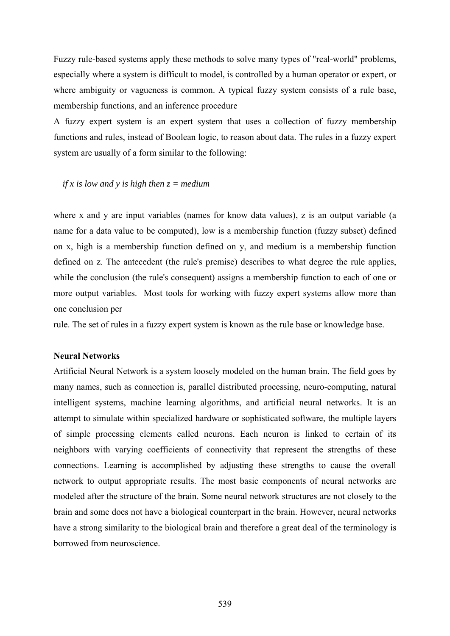Fuzzy rule-based systems apply these methods to solve many types of "real-world" problems, especially where a system is difficult to model, is controlled by a human operator or expert, or where ambiguity or vagueness is common. A typical fuzzy system consists of a rule base, membership functions, and an inference procedure

A fuzzy expert system is an expert system that uses a collection of fuzzy membership functions and rules, instead of Boolean logic, to reason about data. The rules in a fuzzy expert system are usually of a form similar to the following:

#### *if x is low and y is high then z = medium*

where x and y are input variables (names for know data values), z is an output variable (a name for a data value to be computed), low is a membership function (fuzzy subset) defined on x, high is a membership function defined on y, and medium is a membership function defined on z. The antecedent (the rule's premise) describes to what degree the rule applies, while the conclusion (the rule's consequent) assigns a membership function to each of one or more output variables. Most tools for working with fuzzy expert systems allow more than one conclusion per

rule. The set of rules in a fuzzy expert system is known as the rule base or knowledge base.

#### **Neural Networks**

Artificial Neural Network is a system loosely modeled on the human brain. The field goes by many names, such as connection is, parallel distributed processing, neuro-computing, natural intelligent systems, machine learning algorithms, and artificial neural networks. It is an attempt to simulate within specialized hardware or sophisticated software, the multiple layers of simple processing elements called neurons. Each neuron is linked to certain of its neighbors with varying coefficients of connectivity that represent the strengths of these connections. Learning is accomplished by adjusting these strengths to cause the overall network to output appropriate results. The most basic components of neural networks are modeled after the structure of the brain. Some neural network structures are not closely to the brain and some does not have a biological counterpart in the brain. However, neural networks have a strong similarity to the biological brain and therefore a great deal of the terminology is borrowed from neuroscience.